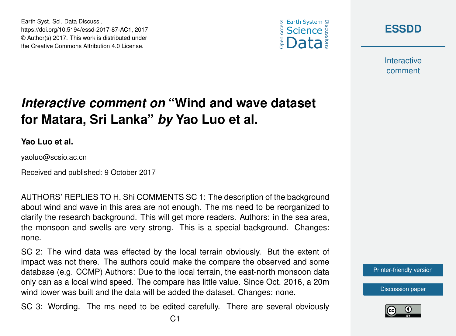



**[ESSDD](https://www.earth-syst-sci-data-discuss.net/)**

**Interactive** comment

## *Interactive comment on* **"Wind and wave dataset for Matara, Sri Lanka"** *by* **Yao Luo et al.**

**Yao Luo et al.**

yaoluo@scsio.ac.cn

Received and published: 9 October 2017

AUTHORS' REPLIES TO H. Shi COMMENTS SC 1: The description of the background about wind and wave in this area are not enough. The ms need to be reorganized to clarify the research background. This will get more readers. Authors: in the sea area, the monsoon and swells are very strong. This is a special background. Changes: none.

SC 2: The wind data was effected by the local terrain obviously. But the extent of impact was not there. The authors could make the compare the observed and some database (e.g. CCMP) Authors: Due to the local terrain, the east-north monsoon data only can as a local wind speed. The compare has little value. Since Oct. 2016, a 20m wind tower was built and the data will be added the dataset. Changes: none.

SC 3: Wording. The ms need to be edited carefully. There are several obviously



[Discussion paper](https://www.earth-syst-sci-data-discuss.net/essd-2017-87)